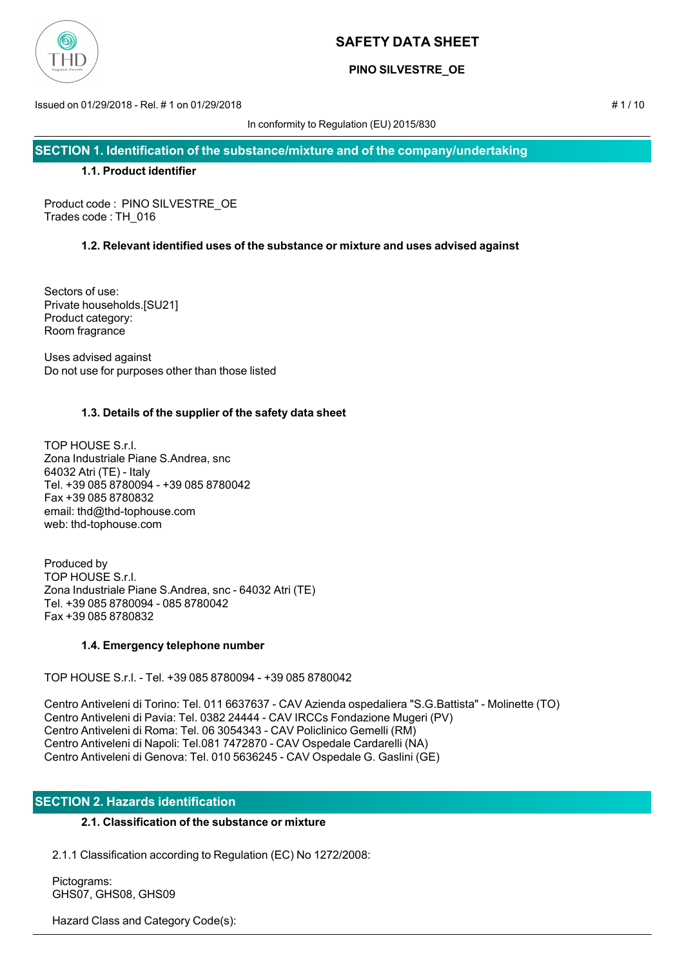

# **PINO SILVESTRE\_OE**

Issued on 01/29/2018 - Rel. # 1 on 01/29/2018 # 1 / 10

In conformity to Regulation (EU) 2015/830

**SECTION 1. Identification of the substance/mixture and of the company/undertaking**

## **1.1. Product identifier**

Product code : PINO SILVESTRE\_OE Trades code : TH\_016

## **1.2. Relevant identified uses of the substance or mixture and uses advised against**

Sectors of use: Private households.[SU21] Product category: Room fragrance

Uses advised against Do not use for purposes other than those listed

## **1.3. Details of the supplier of the safety data sheet**

TOP HOUSE S.r.l. Zona Industriale Piane S.Andrea, snc 64032 Atri (TE) - Italy Tel. +39 085 8780094 - +39 085 8780042 Fax +39 085 8780832 email: thd@thd-tophouse.com web: thd-tophouse.com

Produced by TOP HOUSE S.r.l. Zona Industriale Piane S.Andrea, snc - 64032 Atri (TE) Tel. +39 085 8780094 - 085 8780042 Fax +39 085 8780832

## **1.4. Emergency telephone number**

TOP HOUSE S.r.l. - Tel. +39 085 8780094 - +39 085 8780042

Centro Antiveleni di Torino: Tel. 011 6637637 - CAV Azienda ospedaliera "S.G.Battista" - Molinette (TO) Centro Antiveleni di Pavia: Tel. 0382 24444 - CAV IRCCs Fondazione Mugeri (PV) Centro Antiveleni di Roma: Tel. 06 3054343 - CAV Policlinico Gemelli (RM) Centro Antiveleni di Napoli: Tel.081 7472870 - CAV Ospedale Cardarelli (NA) Centro Antiveleni di Genova: Tel. 010 5636245 - CAV Ospedale G. Gaslini (GE)

## **SECTION 2. Hazards identification**

## **2.1. Classification of the substance or mixture**

2.1.1 Classification according to Regulation (EC) No 1272/2008:

 Pictograms: GHS07, GHS08, GHS09

Hazard Class and Category Code(s):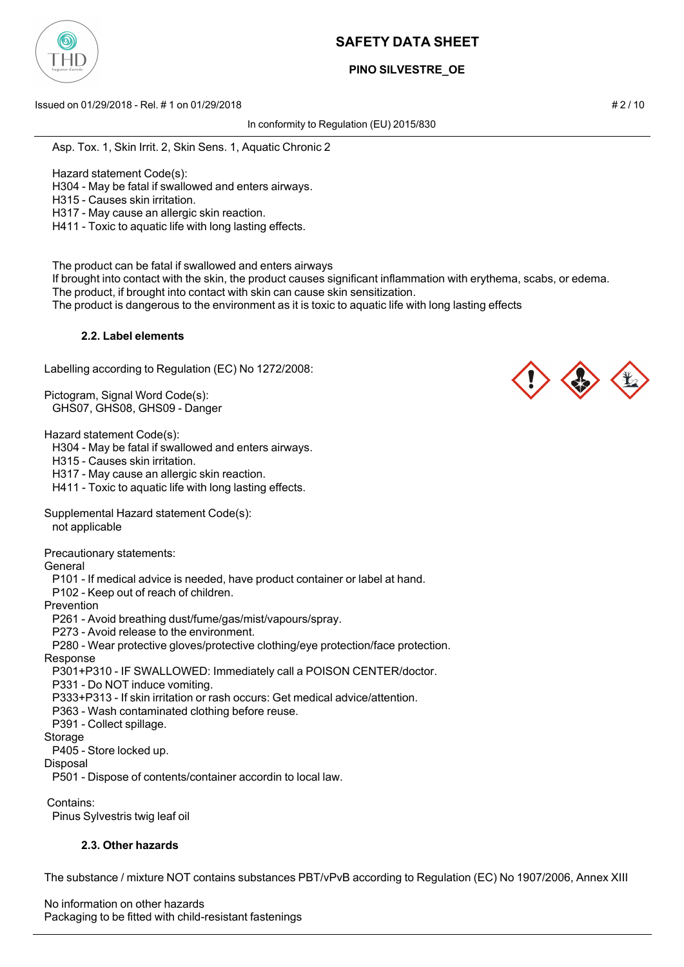

# **PINO SILVESTRE\_OE**

Issued on 01/29/2018 - Rel. # 1 on 01/29/2018 # 2 / 10

In conformity to Regulation (EU) 2015/830

Asp. Tox. 1, Skin Irrit. 2, Skin Sens. 1, Aquatic Chronic 2

Hazard statement Code(s):

H304 - May be fatal if swallowed and enters airways.

H315 - Causes skin irritation.

H317 - May cause an allergic skin reaction.

H411 - Toxic to aquatic life with long lasting effects.

The product can be fatal if swallowed and enters airways

 If brought into contact with the skin, the product causes significant inflammation with erythema, scabs, or edema. The product, if brought into contact with skin can cause skin sensitization.

The product is dangerous to the environment as it is toxic to aquatic life with long lasting effects

## **2.2. Label elements**

Labelling according to Regulation (EC) No 1272/2008:

Pictogram, Signal Word Code(s): GHS07, GHS08, GHS09 - Danger

Hazard statement Code(s):

H304 - May be fatal if swallowed and enters airways.

H315 - Causes skin irritation.

H317 - May cause an allergic skin reaction.

H411 - Toxic to aquatic life with long lasting effects.

Supplemental Hazard statement Code(s):

not applicable

Precautionary statements:

General

P101 - If medical advice is needed, have product container or label at hand.

P102 - Keep out of reach of children.

Prevention

P261 - Avoid breathing dust/fume/gas/mist/vapours/spray.

P273 - Avoid release to the environment.

P280 - Wear protective gloves/protective clothing/eye protection/face protection.

## Response

P301+P310 - IF SWALLOWED: Immediately call a POISON CENTER/doctor.

P331 - Do NOT induce vomiting.

P333+P313 - If skin irritation or rash occurs: Get medical advice/attention.

P363 - Wash contaminated clothing before reuse.

P391 - Collect spillage.

#### Storage

P405 - Store locked up.

Disposal

P501 - Dispose of contents/container accordin to local law.

Contains:

Pinus Sylvestris twig leaf oil

## **2.3. Other hazards**

The substance / mixture NOT contains substances PBT/vPvB according to Regulation (EC) No 1907/2006, Annex XIII

No information on other hazards Packaging to be fitted with child-resistant fastenings



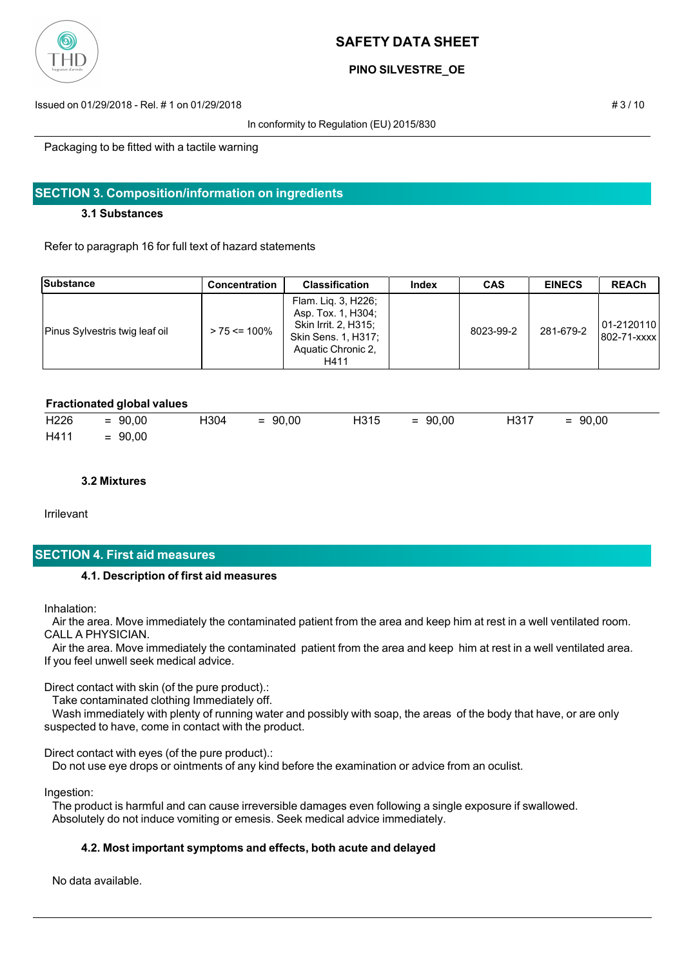

## **PINO SILVESTRE\_OE**

Issued on 01/29/2018 - Rel. # 1 on 01/29/2018 # 3 / 10

In conformity to Regulation (EU) 2015/830

Packaging to be fitted with a tactile warning

## **SECTION 3. Composition/information on ingredients**

#### **3.1 Substances**

Refer to paragraph 16 for full text of hazard statements

| Substance                      | <b>Concentration</b> | <b>Classification</b>                                                                                                  | Index | <b>CAS</b> | <b>EINECS</b> | <b>REACh</b>                |
|--------------------------------|----------------------|------------------------------------------------------------------------------------------------------------------------|-------|------------|---------------|-----------------------------|
| Pinus Sylvestris twig leaf oil | $> 75 \le 100\%$     | Flam. Lig. 3, H226;<br>Asp. Tox. 1, H304;<br>Skin Irrit. 2, H315;<br>Skin Sens. 1, H317;<br>Aquatic Chronic 2,<br>H411 |       | 8023-99-2  | 281-679-2     | 101-2120110<br>1802-71-xxxx |

#### **Fractionated global values**

| H <sub>226</sub> | $= 90,00$ | H304 | $= 90,00$ | H315 | $= 90.00$ | H317 | $= 90,00$ |
|------------------|-----------|------|-----------|------|-----------|------|-----------|
| H411             | $= 90,00$ |      |           |      |           |      |           |

#### **3.2 Mixtures**

Irrilevant

## **SECTION 4. First aid measures**

#### **4.1. Description of first aid measures**

Inhalation:

 Air the area. Move immediately the contaminated patient from the area and keep him at rest in a well ventilated room. CALL A PHYSICIAN.

 Air the area. Move immediately the contaminated patient from the area and keep him at rest in a well ventilated area. If you feel unwell seek medical advice.

Direct contact with skin (of the pure product).:

Take contaminated clothing Immediately off.

 Wash immediately with plenty of running water and possibly with soap, the areas of the body that have, or are only suspected to have, come in contact with the product.

Direct contact with eyes (of the pure product).:

Do not use eye drops or ointments of any kind before the examination or advice from an oculist.

Ingestion:

 The product is harmful and can cause irreversible damages even following a single exposure if swallowed. Absolutely do not induce vomiting or emesis. Seek medical advice immediately.

## **4.2. Most important symptoms and effects, both acute and delayed**

No data available.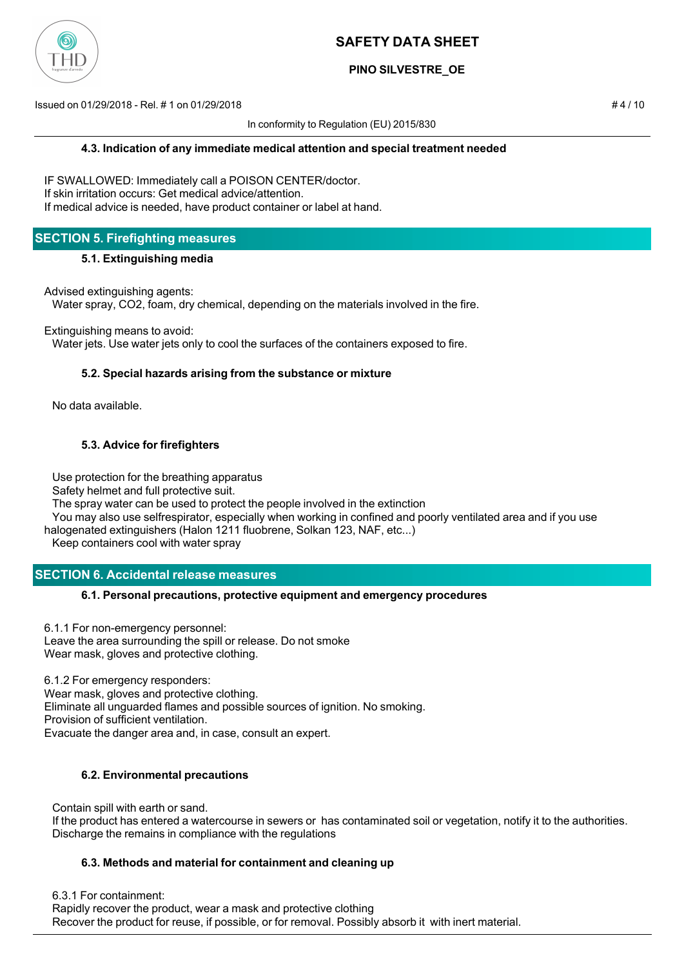

## **PINO SILVESTRE\_OE**

Issued on 01/29/2018 - Rel. # 1 on 01/29/2018 # 4 / 10

In conformity to Regulation (EU) 2015/830

IF SWALLOWED: Immediately call a POISON CENTER/doctor. If skin irritation occurs: Get medical advice/attention. If medical advice is needed, have product container or label at hand.

# **SECTION 5. Firefighting measures**

## **5.1. Extinguishing media**

Advised extinguishing agents:

Water spray, CO2, foam, dry chemical, depending on the materials involved in the fire.

Extinguishing means to avoid:

Water jets. Use water jets only to cool the surfaces of the containers exposed to fire.

## **5.2. Special hazards arising from the substance or mixture**

No data available.

## **5.3. Advice for firefighters**

Use protection for the breathing apparatus

Safety helmet and full protective suit.

The spray water can be used to protect the people involved in the extinction

 You may also use selfrespirator, especially when working in confined and poorly ventilated area and if you use halogenated extinguishers (Halon 1211 fluobrene, Solkan 123, NAF, etc...)

Keep containers cool with water spray

# **SECTION 6. Accidental release measures**

## **6.1. Personal precautions, protective equipment and emergency procedures**

6.1.1 For non-emergency personnel: Leave the area surrounding the spill or release. Do not smoke Wear mask, gloves and protective clothing.

6.1.2 For emergency responders: Wear mask, gloves and protective clothing. Eliminate all unguarded flames and possible sources of ignition. No smoking. Provision of sufficient ventilation. Evacuate the danger area and, in case, consult an expert.

## **6.2. Environmental precautions**

 Contain spill with earth or sand. If the product has entered a watercourse in sewers or has contaminated soil or vegetation, notify it to the authorities. Discharge the remains in compliance with the regulations

## **6.3. Methods and material for containment and cleaning up**

6.3.1 For containment:

 Rapidly recover the product, wear a mask and protective clothing Recover the product for reuse, if possible, or for removal. Possibly absorb it with inert material.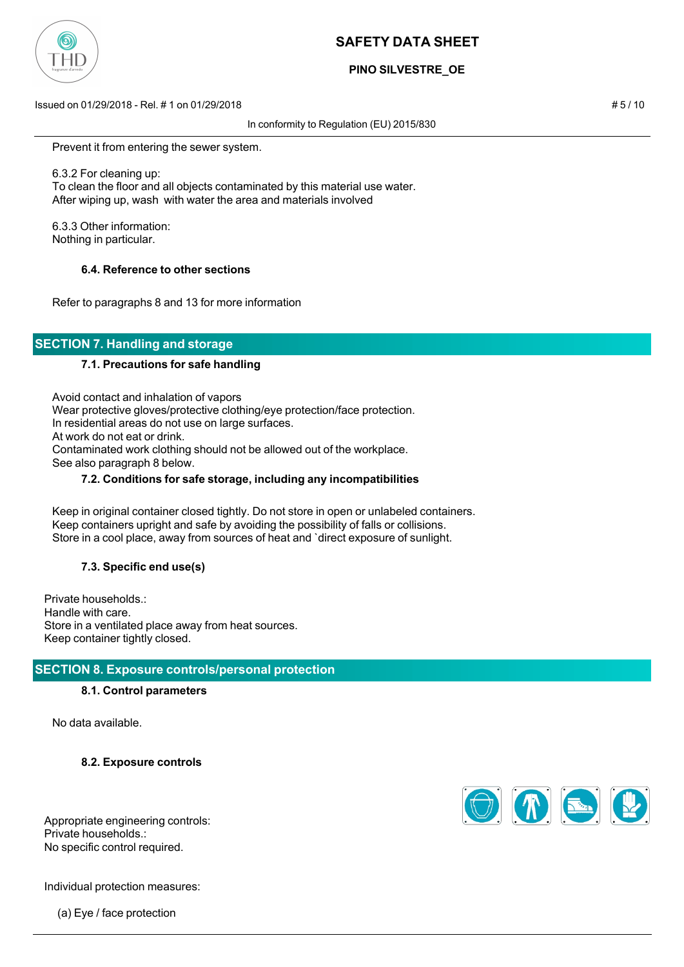

# **PINO SILVESTRE\_OE**

Issued on 01/29/2018 - Rel. # 1 on 01/29/2018 # 5 / 10

In conformity to Regulation (EU) 2015/830

Prevent it from entering the sewer system.

 6.3.2 For cleaning up: To clean the floor and all objects contaminated by this material use water. After wiping up, wash with water the area and materials involved

 6.3.3 Other information: Nothing in particular.

## **6.4. Reference to other sections**

Refer to paragraphs 8 and 13 for more information

# **SECTION 7. Handling and storage**

#### **7.1. Precautions for safe handling**

 Avoid contact and inhalation of vapors Wear protective gloves/protective clothing/eye protection/face protection. In residential areas do not use on large surfaces. At work do not eat or drink. Contaminated work clothing should not be allowed out of the workplace. See also paragraph 8 below.

#### **7.2. Conditions for safe storage, including any incompatibilities**

 Keep in original container closed tightly. Do not store in open or unlabeled containers. Keep containers upright and safe by avoiding the possibility of falls or collisions. Store in a cool place, away from sources of heat and `direct exposure of sunlight.

## **7.3. Specific end use(s)**

Private households.: Handle with care. Store in a ventilated place away from heat sources. Keep container tightly closed.

## **SECTION 8. Exposure controls/personal protection**

#### **8.1. Control parameters**

No data available.

**8.2. Exposure controls**



Appropriate engineering controls: Private households.: No specific control required.

Individual protection measures:

(a) Eye / face protection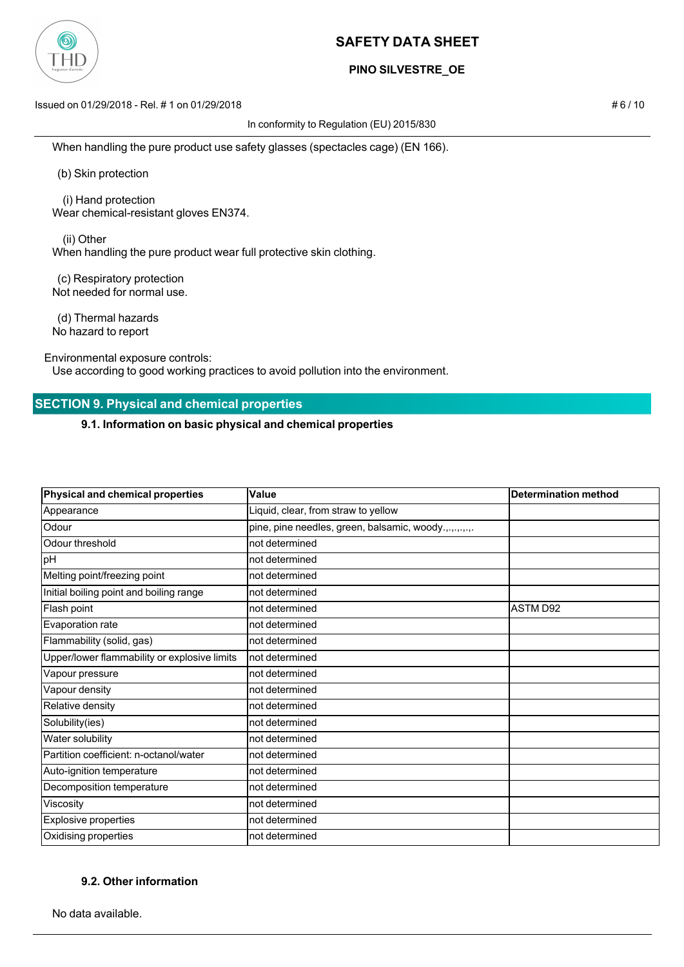

## **PINO SILVESTRE\_OE**

Issued on 01/29/2018 - Rel. # 1 on 01/29/2018 # 6 / 10

In conformity to Regulation (EU) 2015/830

When handling the pure product use safety glasses (spectacles cage) (EN 166).

(b) Skin protection

 (i) Hand protection Wear chemical-resistant gloves EN374.

 (ii) Other When handling the pure product wear full protective skin clothing.

 (c) Respiratory protection Not needed for normal use.

 (d) Thermal hazards No hazard to report

Environmental exposure controls:

Use according to good working practices to avoid pollution into the environment.

## **SECTION 9. Physical and chemical properties**

**9.1. Information on basic physical and chemical properties**

| Physical and chemical properties             | Value                                                 | <b>Determination method</b> |
|----------------------------------------------|-------------------------------------------------------|-----------------------------|
| Appearance                                   | Liquid, clear, from straw to yellow                   |                             |
| Odour                                        | pine, pine needles, green, balsamic, woody.,.,.,.,.,. |                             |
| Odour threshold                              | not determined                                        |                             |
| pH                                           | not determined                                        |                             |
| Melting point/freezing point                 | not determined                                        |                             |
| Initial boiling point and boiling range      | not determined                                        |                             |
| Flash point                                  | not determined                                        | <b>ASTM D92</b>             |
| Evaporation rate                             | not determined                                        |                             |
| Flammability (solid, gas)                    | not determined                                        |                             |
| Upper/lower flammability or explosive limits | not determined                                        |                             |
| Vapour pressure                              | not determined                                        |                             |
| Vapour density                               | not determined                                        |                             |
| Relative density                             | not determined                                        |                             |
| Solubility(ies)                              | not determined                                        |                             |
| Water solubility                             | not determined                                        |                             |
| Partition coefficient: n-octanol/water       | not determined                                        |                             |
| Auto-ignition temperature                    | not determined                                        |                             |
| Decomposition temperature                    | not determined                                        |                             |
| Viscosity                                    | not determined                                        |                             |
| Explosive properties                         | not determined                                        |                             |
| Oxidising properties                         | not determined                                        |                             |

## **9.2. Other information**

No data available.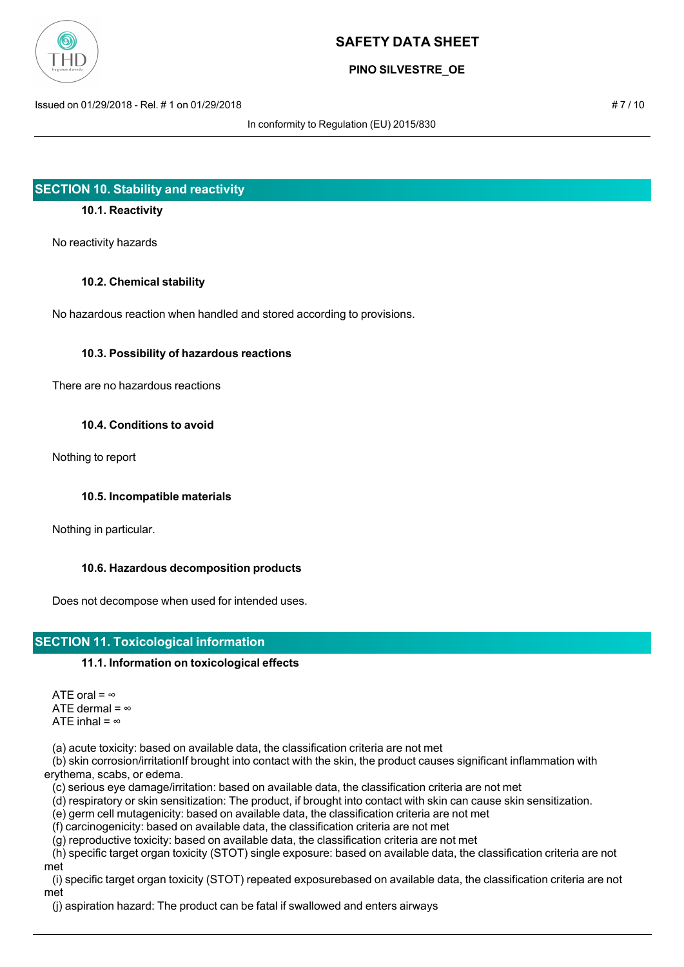

## **PINO SILVESTRE\_OE**

Issued on 01/29/2018 - Rel. # 1 on 01/29/2018 # 7 / 10

In conformity to Regulation (EU) 2015/830

# **SECTION 10. Stability and reactivity**

## **10.1. Reactivity**

No reactivity hazards

#### **10.2. Chemical stability**

No hazardous reaction when handled and stored according to provisions.

## **10.3. Possibility of hazardous reactions**

There are no hazardous reactions

#### **10.4. Conditions to avoid**

Nothing to report

## **10.5. Incompatible materials**

Nothing in particular.

## **10.6. Hazardous decomposition products**

Does not decompose when used for intended uses.

# **SECTION 11. Toxicological information**

## **11.1. Information on toxicological effects**

ATE oral =  $\infty$ ATE dermal =  $\infty$ ATE inhal =  $\infty$ 

(a) acute toxicity: based on available data, the classification criteria are not met

 (b) skin corrosion/irritationIf brought into contact with the skin, the product causes significant inflammation with erythema, scabs, or edema.

(c) serious eye damage/irritation: based on available data, the classification criteria are not met

(d) respiratory or skin sensitization: The product, if brought into contact with skin can cause skin sensitization.

(e) germ cell mutagenicity: based on available data, the classification criteria are not met

(f) carcinogenicity: based on available data, the classification criteria are not met

(g) reproductive toxicity: based on available data, the classification criteria are not met

 (h) specific target organ toxicity (STOT) single exposure: based on available data, the classification criteria are not met

 (i) specific target organ toxicity (STOT) repeated exposurebased on available data, the classification criteria are not met

(j) aspiration hazard: The product can be fatal if swallowed and enters airways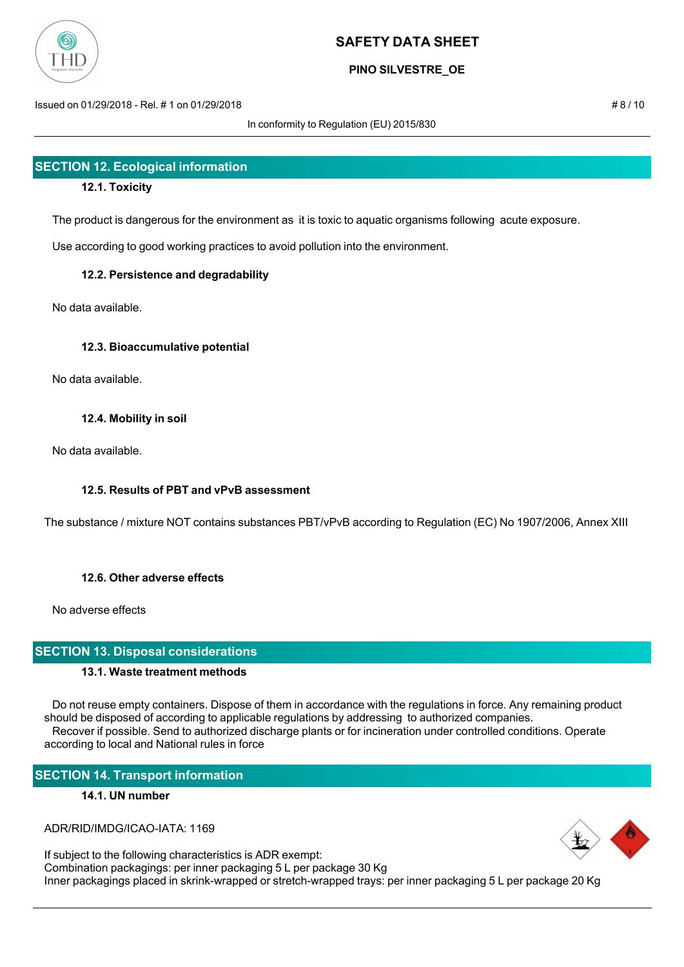

## **PINO SILVESTRE\_OE**

Issued on 01/29/2018 - Rel. # 1 on 01/29/2018 # 8 / 10

In conformity to Regulation (EU) 2015/830

# **SECTION 12. Ecological information**

## **12.1. Toxicity**

The product is dangerous for the environment as it is toxic to aquatic organisms following acute exposure.

Use according to good working practices to avoid pollution into the environment.

## **12.2. Persistence and degradability**

No data available.

## **12.3. Bioaccumulative potential**

No data available.

## **12.4. Mobility in soil**

No data available.

## **12.5. Results of PBT and vPvB assessment**

The substance / mixture NOT contains substances PBT/vPvB according to Regulation (EC) No 1907/2006, Annex XIII

## **12.6. Other adverse effects**

No adverse effects

## **SECTION 13. Disposal considerations**

## **13.1. Waste treatment methods**

 Do not reuse empty containers. Dispose of them in accordance with the regulations in force. Any remaining product should be disposed of according to applicable regulations by addressing to authorized companies. Recover if possible. Send to authorized discharge plants or for incineration under controlled conditions. Operate according to local and National rules in force

# **SECTION 14. Transport information**

## **14.1. UN number**

ADR/RID/IMDG/ICAO-IATA: 1169

If subject to the following characteristics is ADR exempt: Combination packagings: per inner packaging 5 L per package 30 Kg Inner packagings placed in skrink-wrapped or stretch-wrapped trays: per inner packaging 5 L per package 20 Kg

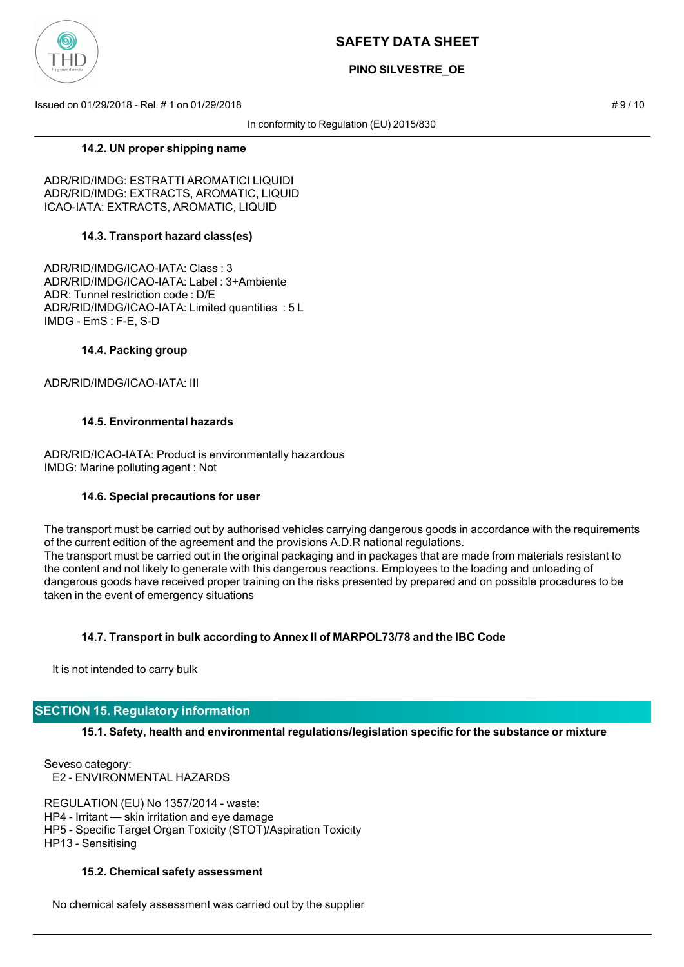

## **PINO SILVESTRE\_OE**

Issued on 01/29/2018 - Rel. # 1 on 01/29/2018 # 9 / 10

In conformity to Regulation (EU) 2015/830

#### **14.2. UN proper shipping name**

ADR/RID/IMDG: ESTRATTI AROMATICI LIQUIDI ADR/RID/IMDG: EXTRACTS, AROMATIC, LIQUID ICAO-IATA: EXTRACTS, AROMATIC, LIQUID

## **14.3. Transport hazard class(es)**

ADR/RID/IMDG/ICAO-IATA: Class : 3 ADR/RID/IMDG/ICAO-IATA: Label : 3+Ambiente ADR: Tunnel restriction code : D/E ADR/RID/IMDG/ICAO-IATA: Limited quantities : 5 L IMDG - EmS : F-E, S-D

#### **14.4. Packing group**

ADR/RID/IMDG/ICAO-IATA: III

## **14.5. Environmental hazards**

ADR/RID/ICAO-IATA: Product is environmentally hazardous IMDG: Marine polluting agent : Not

#### **14.6. Special precautions for user**

The transport must be carried out by authorised vehicles carrying dangerous goods in accordance with the requirements of the current edition of the agreement and the provisions A.D.R national regulations. The transport must be carried out in the original packaging and in packages that are made from materials resistant to the content and not likely to generate with this dangerous reactions. Employees to the loading and unloading of dangerous goods have received proper training on the risks presented by prepared and on possible procedures to be taken in the event of emergency situations

## **14.7. Transport in bulk according to Annex II of MARPOL73/78 and the IBC Code**

It is not intended to carry bulk

## **SECTION 15. Regulatory information**

**15.1. Safety, health and environmental regulations/legislation specific for the substance or mixture**

Seveso category: E2 - ENVIRONMENTAL HAZARDS

REGULATION (EU) No 1357/2014 - waste: HP4 - Irritant — skin irritation and eye damage HP5 - Specific Target Organ Toxicity (STOT)/Aspiration Toxicity HP13 - Sensitising

#### **15.2. Chemical safety assessment**

No chemical safety assessment was carried out by the supplier